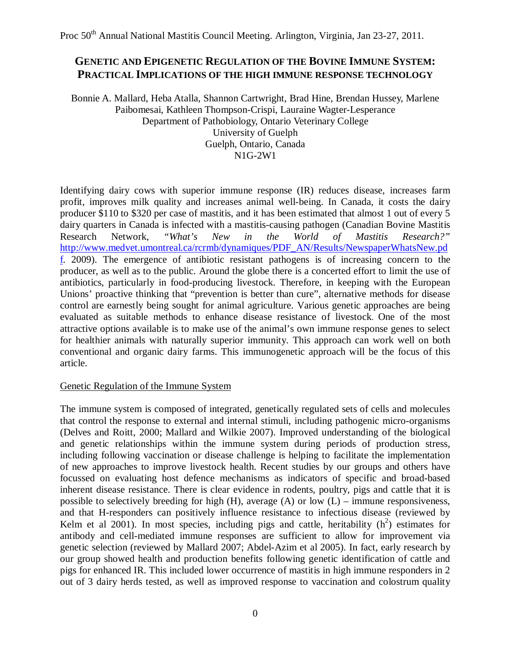## **GENETIC AND EPIGENETIC REGULATION OF THE BOVINE IMMUNE SYSTEM: PRACTICAL IMPLICATIONS OF THE HIGH IMMUNE RESPONSE TECHNOLOGY**

Bonnie A. Mallard, Heba Atalla, Shannon Cartwright, Brad Hine, Brendan Hussey, Marlene Paibomesai, Kathleen Thompson-Crispi, Lauraine Wagter-Lesperance Department of Pathobiology, Ontario Veterinary College University of Guelph Guelph, Ontario, Canada N1G-2W1

Identifying dairy cows with superior immune response (IR) reduces disease, increases farm profit, improves milk quality and increases animal well-being. In Canada, it costs the dairy producer \$110 to \$320 per case of mastitis, and it has been estimated that almost 1 out of every 5 dairy quarters in Canada is infected with a mastitis-causing pathogen (Canadian Bovine Mastitis Research 2" Research 2" Research 2" Seventh Australian Bovine Mastitis Research 2" Research 2" Seventh 2" Research 2" Seventh Research Network, *"What's New in the World of Mastitis Research?"* http://www.medvet.umontreal.ca/rcrmb/dynamiques/PDF\_AN/Results/NewspaperWhatsNew.pd f. 2009). The emergence of antibiotic resistant pathogens is of increasing concern to the producer, as well as to the public. Around the globe there is a concerted effort to limit the use of antibiotics, particularly in food-producing livestock. Therefore, in keeping with the European Unions' proactive thinking that "prevention is better than cure", alternative methods for disease control are earnestly being sought for animal agriculture. Various genetic approaches are being evaluated as suitable methods to enhance disease resistance of livestock. One of the most attractive options available is to make use of the animal's own immune response genes to select for healthier animals with naturally superior immunity. This approach can work well on both conventional and organic dairy farms. This immunogenetic approach will be the focus of this article.

## Genetic Regulation of the Immune System

The immune system is composed of integrated, genetically regulated sets of cells and molecules that control the response to external and internal stimuli, including pathogenic micro-organisms (Delves and Roitt, 2000; Mallard and Wilkie 2007). Improved understanding of the biological and genetic relationships within the immune system during periods of production stress, including following vaccination or disease challenge is helping to facilitate the implementation of new approaches to improve livestock health. Recent studies by our groups and others have focussed on evaluating host defence mechanisms as indicators of specific and broad-based inherent disease resistance. There is clear evidence in rodents, poultry, pigs and cattle that it is possible to selectively breeding for high  $(H)$ , average  $(A)$  or low  $(L)$  – immune responsiveness, and that H-responders can positively influence resistance to infectious disease (reviewed by Kelm et al 2001). In most species, including pigs and cattle, heritability  $(h^2)$  estimates for antibody and cell-mediated immune responses are sufficient to allow for improvement via genetic selection (reviewed by Mallard 2007; Abdel-Azim et al 2005). In fact, early research by our group showed health and production benefits following genetic identification of cattle and pigs for enhanced IR. This included lower occurrence of mastitis in high immune responders in 2 out of 3 dairy herds tested, as well as improved response to vaccination and colostrum quality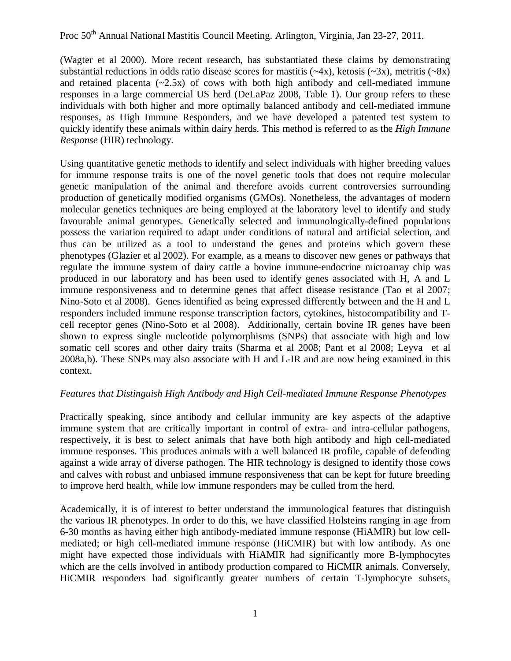(Wagter et al 2000). More recent research, has substantiated these claims by demonstrating substantial reductions in odds ratio disease scores for mastitis  $(\sim 4x)$ , ketosis  $(\sim 3x)$ , metritis  $(\sim 8x)$ and retained placenta  $(-2.5x)$  of cows with both high antibody and cell-mediated immune responses in a large commercial US herd (DeLaPaz 2008, Table 1). Our group refers to these individuals with both higher and more optimally balanced antibody and cell-mediated immune responses, as High Immune Responders, and we have developed a patented test system to quickly identify these animals within dairy herds. This method is referred to as the *High Immune Response* (HIR) technology.

Using quantitative genetic methods to identify and select individuals with higher breeding values for immune response traits is one of the novel genetic tools that does not require molecular genetic manipulation of the animal and therefore avoids current controversies surrounding production of genetically modified organisms (GMOs). Nonetheless, the advantages of modern molecular genetics techniques are being employed at the laboratory level to identify and study favourable animal genotypes. Genetically selected and immunologically-defined populations possess the variation required to adapt under conditions of natural and artificial selection, and thus can be utilized as a tool to understand the genes and proteins which govern these phenotypes (Glazier et al 2002). For example, as a means to discover new genes or pathways that regulate the immune system of dairy cattle a bovine immune-endocrine microarray chip was produced in our laboratory and has been used to identify genes associated with H, A and L immune responsiveness and to determine genes that affect disease resistance (Tao et al 2007; Nino-Soto et al 2008). Genes identified as being expressed differently between and the H and L responders included immune response transcription factors, cytokines, histocompatibility and Tcell receptor genes (Nino-Soto et al 2008). Additionally, certain bovine IR genes have been shown to express single nucleotide polymorphisms (SNPs) that associate with high and low somatic cell scores and other dairy traits (Sharma et al 2008; Pant et al 2008; Leyva et al 2008a,b). These SNPs may also associate with H and L-IR and are now being examined in this context.

### *Features that Distinguish High Antibody and High Cell-mediated Immune Response Phenotypes*

Practically speaking, since antibody and cellular immunity are key aspects of the adaptive immune system that are critically important in control of extra- and intra-cellular pathogens, respectively, it is best to select animals that have both high antibody and high cell-mediated immune responses. This produces animals with a well balanced IR profile, capable of defending against a wide array of diverse pathogen. The HIR technology is designed to identify those cows and calves with robust and unbiased immune responsiveness that can be kept for future breeding to improve herd health, while low immune responders may be culled from the herd.

Academically, it is of interest to better understand the immunological features that distinguish the various IR phenotypes. In order to do this, we have classified Holsteins ranging in age from 6-30 months as having either high antibody-mediated immune response (HiAMIR) but low cellmediated; or high cell-mediated immune response (HiCMIR) but with low antibody. As one might have expected those individuals with HiAMIR had significantly more B-lymphocytes which are the cells involved in antibody production compared to HiCMIR animals. Conversely, HiCMIR responders had significantly greater numbers of certain T-lymphocyte subsets,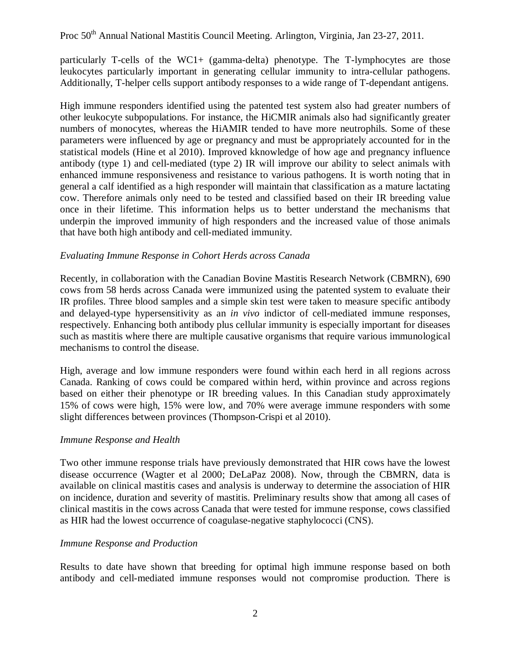particularly T-cells of the WC1+ (gamma-delta) phenotype. The T-lymphocytes are those leukocytes particularly important in generating cellular immunity to intra-cellular pathogens. Additionally, T-helper cells support antibody responses to a wide range of T-dependant antigens.

High immune responders identified using the patented test system also had greater numbers of other leukocyte subpopulations. For instance, the HiCMIR animals also had significantly greater numbers of monocytes, whereas the HiAMIR tended to have more neutrophils. Some of these parameters were influenced by age or pregnancy and must be appropriately accounted for in the statistical models (Hine et al 2010). Improved kknowledge of how age and pregnancy influence antibody (type 1) and cell-mediated (type 2) IR will improve our ability to select animals with enhanced immune responsiveness and resistance to various pathogens. It is worth noting that in general a calf identified as a high responder will maintain that classification as a mature lactating cow. Therefore animals only need to be tested and classified based on their IR breeding value once in their lifetime. This information helps us to better understand the mechanisms that underpin the improved immunity of high responders and the increased value of those animals that have both high antibody and cell-mediated immunity.

## *Evaluating Immune Response in Cohort Herds across Canada*

Recently, in collaboration with the Canadian Bovine Mastitis Research Network (CBMRN), 690 cows from 58 herds across Canada were immunized using the patented system to evaluate their IR profiles. Three blood samples and a simple skin test were taken to measure specific antibody and delayed-type hypersensitivity as an *in vivo* indictor of cell-mediated immune responses, respectively. Enhancing both antibody plus cellular immunity is especially important for diseases such as mastitis where there are multiple causative organisms that require various immunological mechanisms to control the disease.

High, average and low immune responders were found within each herd in all regions across Canada. Ranking of cows could be compared within herd, within province and across regions based on either their phenotype or IR breeding values. In this Canadian study approximately 15% of cows were high, 15% were low, and 70% were average immune responders with some slight differences between provinces (Thompson-Crispi et al 2010).

### *Immune Response and Health*

Two other immune response trials have previously demonstrated that HIR cows have the lowest disease occurrence (Wagter et al 2000; DeLaPaz 2008). Now, through the CBMRN, data is available on clinical mastitis cases and analysis is underway to determine the association of HIR on incidence, duration and severity of mastitis. Preliminary results show that among all cases of clinical mastitis in the cows across Canada that were tested for immune response, cows classified as HIR had the lowest occurrence of coagulase-negative staphylococci (CNS).

### *Immune Response and Production*

Results to date have shown that breeding for optimal high immune response based on both antibody and cell-mediated immune responses would not compromise production. There is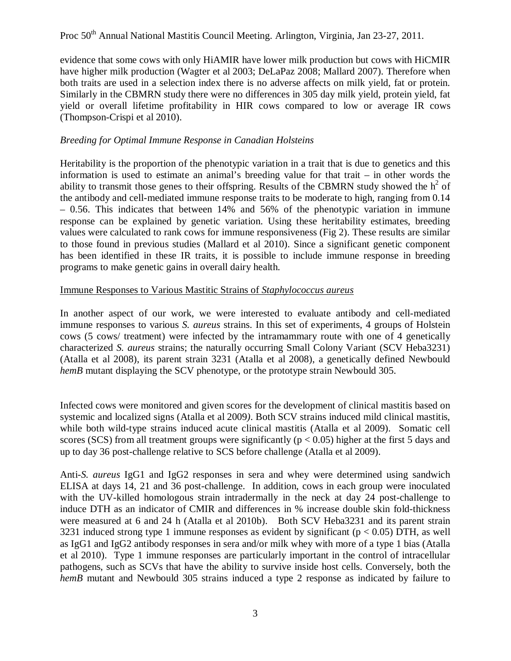evidence that some cows with only HiAMIR have lower milk production but cows with HiCMIR have higher milk production (Wagter et al 2003; DeLaPaz 2008; Mallard 2007). Therefore when both traits are used in a selection index there is no adverse affects on milk yield, fat or protein. Similarly in the CBMRN study there were no differences in 305 day milk yield, protein yield, fat yield or overall lifetime profitability in HIR cows compared to low or average IR cows (Thompson-Crispi et al 2010).

## *Breeding for Optimal Immune Response in Canadian Holsteins*

Heritability is the proportion of the phenotypic variation in a trait that is due to genetics and this information is used to estimate an animal's breeding value for that trait – in other words the ability to transmit those genes to their offspring. Results of the CBMRN study showed the  $h^2$  of the antibody and cell-mediated immune response traits to be moderate to high, ranging from 0.14 – 0.56. This indicates that between 14% and 56% of the phenotypic variation in immune response can be explained by genetic variation. Using these heritability estimates, breeding values were calculated to rank cows for immune responsiveness (Fig 2). These results are similar to those found in previous studies (Mallard et al 2010). Since a significant genetic component has been identified in these IR traits, it is possible to include immune response in breeding programs to make genetic gains in overall dairy health.

### Immune Responses to Various Mastitic Strains of *Staphylococcus aureus*

In another aspect of our work, we were interested to evaluate antibody and cell-mediated immune responses to various *S. aureus* strains. In this set of experiments, 4 groups of Holstein cows (5 cows/ treatment) were infected by the intramammary route with one of 4 genetically characterized *S. aureus* strains; the naturally occurring Small Colony Variant (SCV Heba3231) (Atalla et al 2008), its parent strain 3231 (Atalla et al 2008), a genetically defined Newbould *hemB* mutant displaying the SCV phenotype, or the prototype strain Newbould 305.

Infected cows were monitored and given scores for the development of clinical mastitis based on systemic and localized signs (Atalla et al 2009*)*. Both SCV strains induced mild clinical mastitis, while both wild-type strains induced acute clinical mastitis (Atalla et al 2009). Somatic cell scores (SCS) from all treatment groups were significantly ( $p < 0.05$ ) higher at the first 5 days and up to day 36 post-challenge relative to SCS before challenge (Atalla et al 2009).

Anti-*S. aureus* IgG1 and IgG2 responses in sera and whey were determined using sandwich ELISA at days 14, 21 and 36 post-challenge. In addition, cows in each group were inoculated with the UV-killed homologous strain intradermally in the neck at day 24 post-challenge to induce DTH as an indicator of CMIR and differences in % increase double skin fold-thickness were measured at 6 and 24 h (Atalla et al 2010b). Both SCV Heba3231 and its parent strain 3231 induced strong type 1 immune responses as evident by significant ( $p < 0.05$ ) DTH, as well as IgG1 and IgG2 antibody responses in sera and/or milk whey with more of a type 1 bias (Atalla et al 2010). Type 1 immune responses are particularly important in the control of intracellular pathogens, such as SCVs that have the ability to survive inside host cells. Conversely, both the *hemB* mutant and Newbould 305 strains induced a type 2 response as indicated by failure to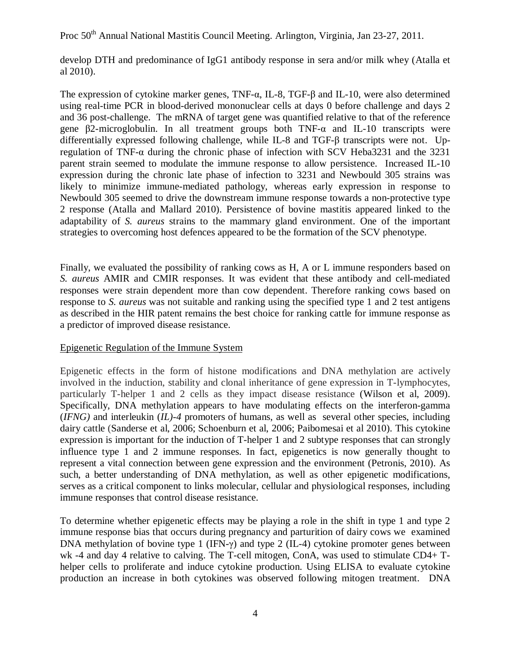develop DTH and predominance of IgG1 antibody response in sera and/or milk whey (Atalla et al 2010).

The expression of cytokine marker genes, TNF-α, IL-8, TGF-β and IL-10, were also determined using real-time PCR in blood-derived mononuclear cells at days 0 before challenge and days 2 and 36 post-challenge. The mRNA of target gene was quantified relative to that of the reference gene β2-microglobulin. In all treatment groups both TNF-α and IL-10 transcripts were differentially expressed following challenge, while IL-8 and TGF-β transcripts were not. Upregulation of TNF-α during the chronic phase of infection with SCV Heba3231 and the 3231 parent strain seemed to modulate the immune response to allow persistence. Increased IL-10 expression during the chronic late phase of infection to 3231 and Newbould 305 strains was likely to minimize immune-mediated pathology, whereas early expression in response to Newbould 305 seemed to drive the downstream immune response towards a non-protective type 2 response (Atalla and Mallard 2010). Persistence of bovine mastitis appeared linked to the adaptability of *S. aureus* strains to the mammary gland environment. One of the important strategies to overcoming host defences appeared to be the formation of the SCV phenotype.

Finally, we evaluated the possibility of ranking cows as H, A or L immune responders based on *S. aureus* AMIR and CMIR responses. It was evident that these antibody and cell-mediated responses were strain dependent more than cow dependent. Therefore ranking cows based on response to *S. aureus* was not suitable and ranking using the specified type 1 and 2 test antigens as described in the HIR patent remains the best choice for ranking cattle for immune response as a predictor of improved disease resistance.

### Epigenetic Regulation of the Immune System

Epigenetic effects in the form of histone modifications and DNA methylation are actively involved in the induction, stability and clonal inheritance of gene expression in T-lymphocytes, particularly T-helper 1 and 2 cells as they impact disease resistance (Wilson et al, 2009). Specifically, DNA methylation appears to have modulating effects on the interferon-gamma (*IFNG)* and interleukin (*IL)-4* promoters of humans, as well as several other species, including dairy cattle (Sanderse et al, 2006; Schoenburn et al, 2006; Paibomesai et al 2010). This cytokine expression is important for the induction of T-helper 1 and 2 subtype responses that can strongly influence type 1 and 2 immune responses. In fact, epigenetics is now generally thought to represent a vital connection between gene expression and the environment (Petronis, 2010). As such, a better understanding of DNA methylation, as well as other epigenetic modifications, serves as a critical component to links molecular, cellular and physiological responses, including immune responses that control disease resistance.

To determine whether epigenetic effects may be playing a role in the shift in type 1 and type 2 immune response bias that occurs during pregnancy and parturition of dairy cows we examined DNA methylation of bovine type 1 (IFN- $\gamma$ ) and type 2 (IL-4) cytokine promoter genes between wk -4 and day 4 relative to calving. The T-cell mitogen, ConA, was used to stimulate CD4+ Thelper cells to proliferate and induce cytokine production. Using ELISA to evaluate cytokine production an increase in both cytokines was observed following mitogen treatment. DNA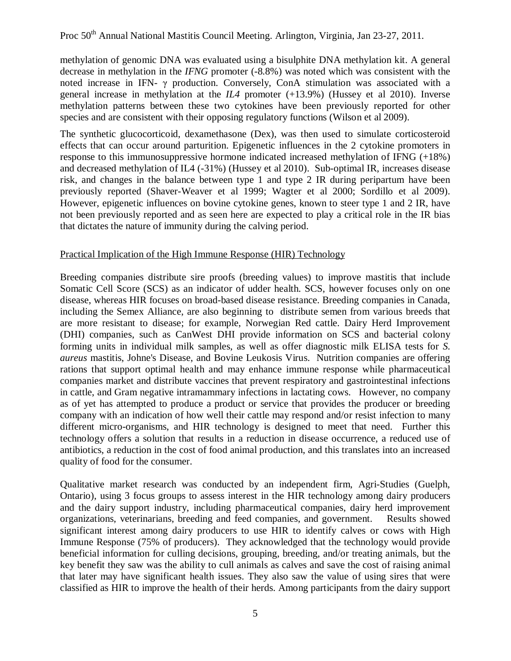methylation of genomic DNA was evaluated using a bisulphite DNA methylation kit. A general decrease in methylation in the *IFNG* promoter (-8.8%) was noted which was consistent with the noted increase in IFN- γ production. Conversely, ConA stimulation was associated with a general increase in methylation at the *IL4* promoter (+13.9%) (Hussey et al 2010). Inverse methylation patterns between these two cytokines have been previously reported for other species and are consistent with their opposing regulatory functions (Wilson et al 2009).

The synthetic glucocorticoid, dexamethasone (Dex), was then used to simulate corticosteroid effects that can occur around parturition. Epigenetic influences in the 2 cytokine promoters in response to this immunosuppressive hormone indicated increased methylation of IFNG (+18%) and decreased methylation of IL4 (-31%) (Hussey et al 2010). Sub-optimal IR, increases disease risk, and changes in the balance between type 1 and type 2 IR during peripartum have been previously reported (Shaver-Weaver et al 1999; Wagter et al 2000; Sordillo et al 2009). However, epigenetic influences on bovine cytokine genes, known to steer type 1 and 2 IR, have not been previously reported and as seen here are expected to play a critical role in the IR bias that dictates the nature of immunity during the calving period.

## Practical Implication of the High Immune Response (HIR) Technology

Breeding companies distribute sire proofs (breeding values) to improve mastitis that include Somatic Cell Score (SCS) as an indicator of udder health. SCS, however focuses only on one disease, whereas HIR focuses on broad-based disease resistance. Breeding companies in Canada, including the Semex Alliance, are also beginning to distribute semen from various breeds that are more resistant to disease; for example, Norwegian Red cattle. Dairy Herd Improvement (DHI) companies, such as CanWest DHI provide information on SCS and bacterial colony forming units in individual milk samples, as well as offer diagnostic milk ELISA tests for *S. aureus* mastitis, Johne's Disease, and Bovine Leukosis Virus. Nutrition companies are offering rations that support optimal health and may enhance immune response while pharmaceutical companies market and distribute vaccines that prevent respiratory and gastrointestinal infections in cattle, and Gram negative intramammary infections in lactating cows. However, no company as of yet has attempted to produce a product or service that provides the producer or breeding company with an indication of how well their cattle may respond and/or resist infection to many different micro-organisms, and HIR technology is designed to meet that need. Further this technology offers a solution that results in a reduction in disease occurrence, a reduced use of antibiotics, a reduction in the cost of food animal production, and this translates into an increased quality of food for the consumer.

Qualitative market research was conducted by an independent firm, Agri-Studies (Guelph, Ontario), using 3 focus groups to assess interest in the HIR technology among dairy producers and the dairy support industry, including pharmaceutical companies, dairy herd improvement organizations, veterinarians, breeding and feed companies, and government. Results showed significant interest among dairy producers to use HIR to identify calves or cows with High Immune Response (75% of producers). They acknowledged that the technology would provide beneficial information for culling decisions, grouping, breeding, and/or treating animals, but the key benefit they saw was the ability to cull animals as calves and save the cost of raising animal that later may have significant health issues. They also saw the value of using sires that were classified as HIR to improve the health of their herds. Among participants from the dairy support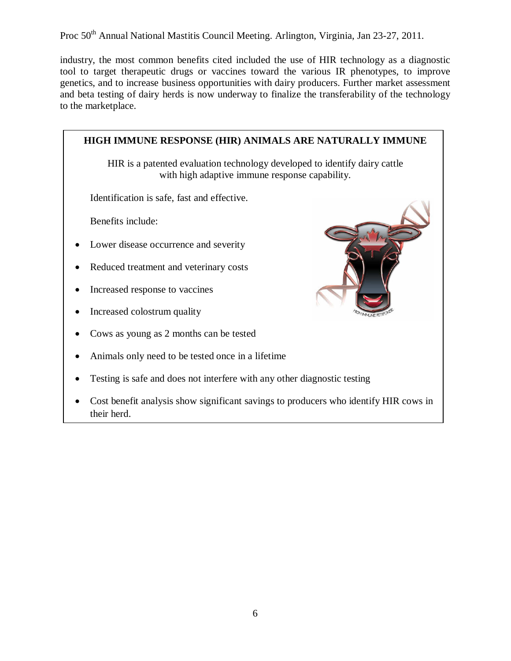industry, the most common benefits cited included the use of HIR technology as a diagnostic tool to target therapeutic drugs or vaccines toward the various IR phenotypes, to improve genetics, and to increase business opportunities with dairy producers. Further market assessment and beta testing of dairy herds is now underway to finalize the transferability of the technology to the marketplace.

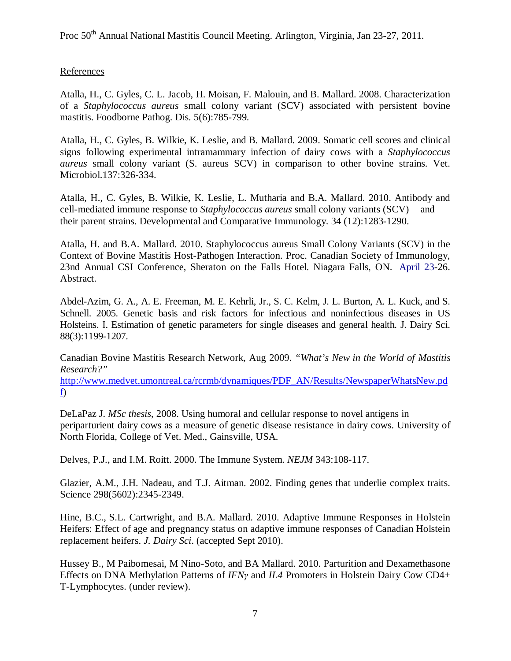## **References**

Atalla, H., C. Gyles, C. L. Jacob, H. Moisan, F. Malouin, and B. Mallard. 2008. Characterization of a *Staphylococcus aureus* small colony variant (SCV) associated with persistent bovine mastitis. Foodborne Pathog. Dis. 5(6):785-799.

Atalla, H., C. Gyles, B. Wilkie, K. Leslie, and B. Mallard. 2009. Somatic cell scores and clinical signs following experimental intramammary infection of dairy cows with a *Staphylococcus aureus* small colony variant (S. aureus SCV) in comparison to other bovine strains. Vet. Microbiol.137:326-334.

Atalla, H., C. Gyles, B. Wilkie, K. Leslie, L. Mutharia and B.A. Mallard. 2010. Antibody and cell-mediated immune response to *Staphylococcus aureus* small colony variants (SCV) and their parent strains. Developmental and Comparative Immunology. 34 (12):1283-1290.

Atalla, H. and B.A. Mallard. 2010. Staphylococcus aureus Small Colony Variants (SCV) in the Context of Bovine Mastitis Host-Pathogen Interaction. Proc. Canadian Society of Immunology, 23nd Annual CSI Conference, Sheraton on the Falls Hotel. Niagara Falls, ON. April 23-26. Abstract.

Abdel-Azim, G. A., A. E. Freeman, M. E. Kehrli, Jr., S. C. Kelm, J. L. Burton, A. L. Kuck, and S. Schnell. 2005. Genetic basis and risk factors for infectious and noninfectious diseases in US Holsteins. I. Estimation of genetic parameters for single diseases and general health. J. Dairy Sci. 88(3):1199-1207.

Canadian Bovine Mastitis Research Network, Aug 2009. *"What's New in the World of Mastitis Research?"* 

http://www.medvet.umontreal.ca/rcrmb/dynamiques/PDF\_AN/Results/NewspaperWhatsNew.pd f)

DeLaPaz J. *MSc thesis*, 2008. Using humoral and cellular response to novel antigens in periparturient dairy cows as a measure of genetic disease resistance in dairy cows. University of North Florida, College of Vet. Med., Gainsville, USA.

Delves, P.J., and I.M. Roitt. 2000. The Immune System. *NEJM* 343:108-117.

Glazier, A.M., J.H. Nadeau, and T.J. Aitman. 2002. Finding genes that underlie complex traits. Science 298(5602):2345-2349.

Hine, B.C., S.L. Cartwright, and B.A. Mallard. 2010. Adaptive Immune Responses in Holstein Heifers: Effect of age and pregnancy status on adaptive immune responses of Canadian Holstein replacement heifers. *J. Dairy Sci*. (accepted Sept 2010).

Hussey B., M Paibomesai, M Nino-Soto, and BA Mallard. 2010. Parturition and Dexamethasone Effects on DNA Methylation Patterns of *IFN*γ and *IL4* Promoters in Holstein Dairy Cow CD4+ T-Lymphocytes. (under review).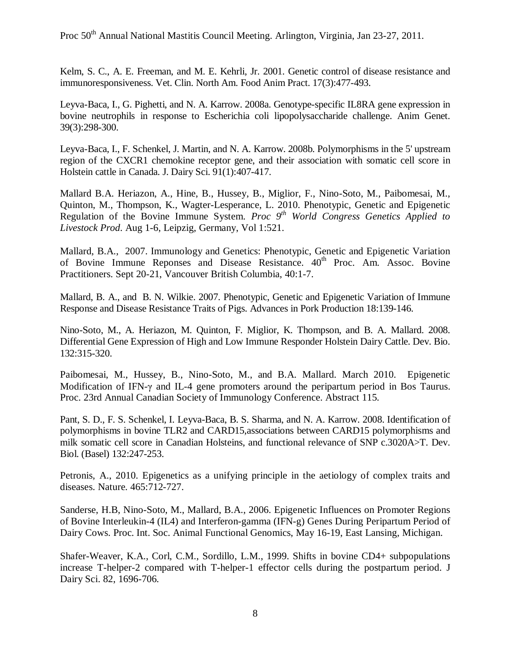Kelm, S. C., A. E. Freeman, and M. E. Kehrli, Jr. 2001. Genetic control of disease resistance and immunoresponsiveness. Vet. Clin. North Am. Food Anim Pract. 17(3):477-493.

Leyva-Baca, I., G. Pighetti, and N. A. Karrow. 2008a. Genotype-specific IL8RA gene expression in bovine neutrophils in response to Escherichia coli lipopolysaccharide challenge. Anim Genet. 39(3):298-300.

Leyva-Baca, I., F. Schenkel, J. Martin, and N. A. Karrow. 2008b. Polymorphisms in the 5' upstream region of the CXCR1 chemokine receptor gene, and their association with somatic cell score in Holstein cattle in Canada. J. Dairy Sci. 91(1):407-417.

Mallard B.A. Heriazon, A., Hine, B., Hussey, B., Miglior, F., Nino-Soto, M., Paibomesai, M., Quinton, M., Thompson, K., Wagter-Lesperance, L. 2010. Phenotypic, Genetic and Epigenetic Regulation of the Bovine Immune System. *Proc 9th World Congress Genetics Applied to Livestock Prod*. Aug 1-6, Leipzig, Germany, Vol 1:521.

Mallard, B.A., 2007. Immunology and Genetics: Phenotypic, Genetic and Epigenetic Variation of Bovine Immune Reponses and Disease Resistance. 40<sup>th</sup> Proc. Am. Assoc. Bovine Practitioners. Sept 20-21, Vancouver British Columbia, 40:1-7.

Mallard, B. A., and B. N. Wilkie. 2007. Phenotypic, Genetic and Epigenetic Variation of Immune Response and Disease Resistance Traits of Pigs. Advances in Pork Production 18:139-146.

Nino-Soto, M., A. Heriazon, M. Quinton, F. Miglior, K. Thompson, and B. A. Mallard. 2008. Differential Gene Expression of High and Low Immune Responder Holstein Dairy Cattle. Dev. Bio. 132:315-320.

Paibomesai, M., Hussey, B., Nino-Soto, M., and B.A. Mallard. March 2010. Epigenetic Modification of IFN- $\gamma$  and IL-4 gene promoters around the peripartum period in Bos Taurus. Proc. 23rd Annual Canadian Society of Immunology Conference. Abstract 115.

Pant, S. D., F. S. Schenkel, I. Leyva-Baca, B. S. Sharma, and N. A. Karrow. 2008. Identification of polymorphisms in bovine TLR2 and CARD15,associations between CARD15 polymorphisms and milk somatic cell score in Canadian Holsteins, and functional relevance of SNP c.3020A>T. Dev. Biol. (Basel) 132:247-253.

Petronis, A., 2010. Epigenetics as a unifying principle in the aetiology of complex traits and diseases. Nature. 465:712-727.

Sanderse, H.B, Nino-Soto, M., Mallard, B.A., 2006. Epigenetic Influences on Promoter Regions of Bovine Interleukin-4 (IL4) and Interferon-gamma (IFN-g) Genes During Peripartum Period of Dairy Cows. Proc. Int. Soc. Animal Functional Genomics, May 16-19, East Lansing, Michigan.

Shafer-Weaver, K.A., Corl, C.M., Sordillo, L.M., 1999. Shifts in bovine CD4+ subpopulations increase T-helper-2 compared with T-helper-1 effector cells during the postpartum period. J Dairy Sci. 82, 1696-706.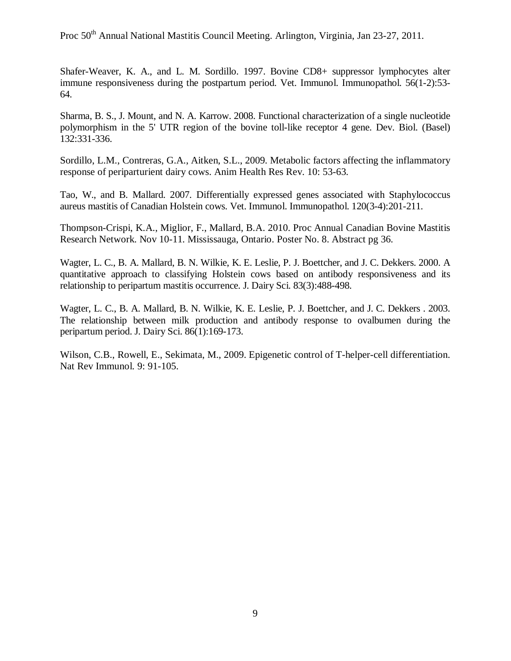Shafer-Weaver, K. A., and L. M. Sordillo. 1997. Bovine CD8+ suppressor lymphocytes alter immune responsiveness during the postpartum period. Vet. Immunol. Immunopathol. 56(1-2):53-64.

Sharma, B. S., J. Mount, and N. A. Karrow. 2008. Functional characterization of a single nucleotide polymorphism in the 5' UTR region of the bovine toll-like receptor 4 gene. Dev. Biol. (Basel) 132:331-336.

Sordillo, L.M., Contreras, G.A., Aitken, S.L., 2009. Metabolic factors affecting the inflammatory response of periparturient dairy cows. Anim Health Res Rev. 10: 53-63.

Tao, W., and B. Mallard. 2007. Differentially expressed genes associated with Staphylococcus aureus mastitis of Canadian Holstein cows. Vet. Immunol. Immunopathol. 120(3-4):201-211.

Thompson-Crispi, K.A., Miglior, F., Mallard, B.A. 2010. Proc Annual Canadian Bovine Mastitis Research Network. Nov 10-11. Mississauga, Ontario. Poster No. 8. Abstract pg 36.

Wagter, L. C., B. A. Mallard, B. N. Wilkie, K. E. Leslie, P. J. Boettcher, and J. C. Dekkers. 2000. A quantitative approach to classifying Holstein cows based on antibody responsiveness and its relationship to peripartum mastitis occurrence. J. Dairy Sci. 83(3):488-498.

Wagter, L. C., B. A. Mallard, B. N. Wilkie, K. E. Leslie, P. J. Boettcher, and J. C. Dekkers . 2003. The relationship between milk production and antibody response to ovalbumen during the peripartum period. J. Dairy Sci. 86(1):169-173.

Wilson, C.B., Rowell, E., Sekimata, M., 2009. Epigenetic control of T-helper-cell differentiation. Nat Rev Immunol. 9: 91-105.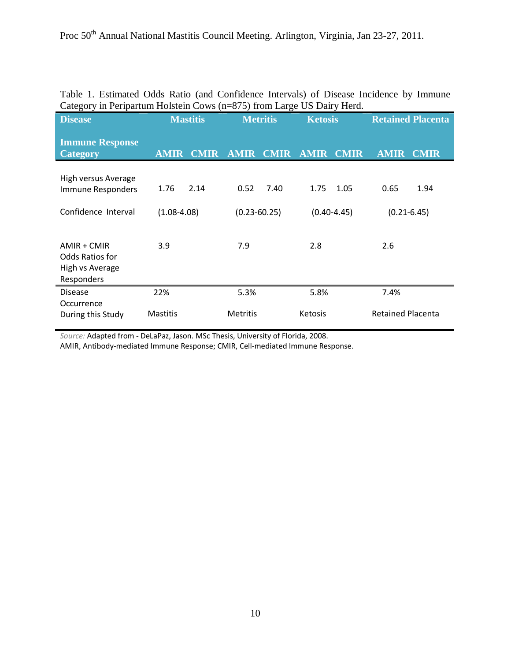| <b>Disease</b>                                                         | <b>Mastitis</b> | <b>Metritis</b>            | <b>Ketosis</b>             | <b>Retained Placenta</b>                  |
|------------------------------------------------------------------------|-----------------|----------------------------|----------------------------|-------------------------------------------|
| <b>Immune Response</b><br><b>Category</b>                              | <b>AMIR</b>     | <b>CMIR</b><br><b>AMIR</b> | <b>CMIR</b><br><b>AMIR</b> | <b>CMIR</b><br><b>AMIR</b><br><b>CMIR</b> |
| High versus Average<br>Immune Responders                               | 1.76<br>2.14    | 0.52                       | 7.40<br>1.75               | 1.05<br>0.65<br>1.94                      |
| Confidence Interval                                                    | $(1.08 - 4.08)$ | $(0.23 - 60.25)$           |                            | $(0.40 - 4.45)$<br>$(0.21 - 6.45)$        |
| AMIR + CMIR<br><b>Odds Ratios for</b><br>High vs Average<br>Responders | 3.9             | 7.9                        | 2.8                        | 2.6                                       |
| <b>Disease</b>                                                         | 22%             | 5.3%                       | 5.8%                       | 7.4%                                      |
| Occurrence<br>During this Study                                        | <b>Mastitis</b> | <b>Metritis</b>            | <b>Ketosis</b>             | <b>Retained Placenta</b>                  |

Table 1. Estimated Odds Ratio (and Confidence Intervals) of Disease Incidence by Immune Category in Peripartum Holstein Cows (n=875) from Large US Dairy Herd.

Source: Adapted from - DeLaPaz, Jason. MSc Thesis, University of Florida, 2008.

AMIR, Antibody-mediated Immune Response; CMIR, Cell-mediated Immune Response.